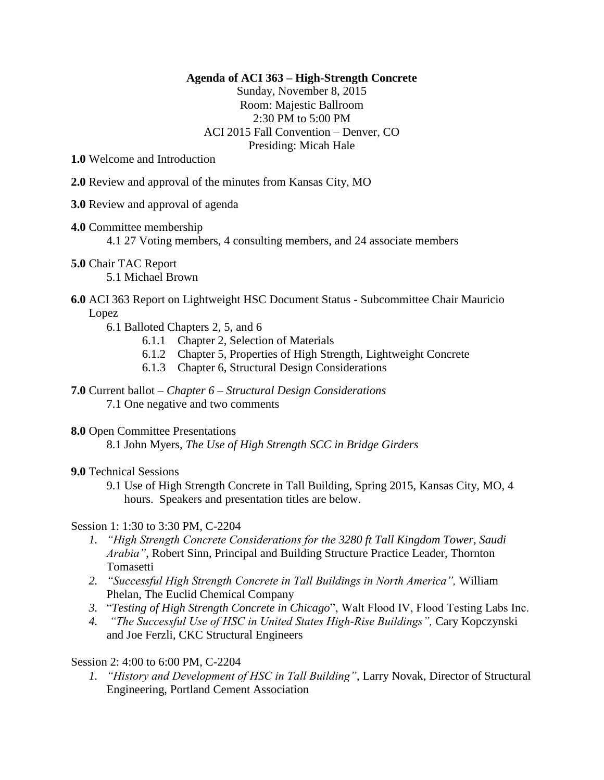#### **Agenda of ACI 363 – High-Strength Concrete**

Sunday, November 8, 2015 Room: Majestic Ballroom 2:30 PM to 5:00 PM ACI 2015 Fall Convention – Denver, CO Presiding: Micah Hale

**1.0** Welcome and Introduction

- **2.0** Review and approval of the minutes from Kansas City, MO
- **3.0** Review and approval of agenda
- **4.0** Committee membership

4.1 27 Voting members, 4 consulting members, and 24 associate members

**5.0** Chair TAC Report

5.1 Michael Brown

# **6.0** ACI 363 Report on Lightweight HSC Document Status - Subcommittee Chair Mauricio Lopez

- 6.1 Balloted Chapters 2, 5, and 6
	- 6.1.1 Chapter 2, Selection of Materials
	- 6.1.2 Chapter 5, Properties of High Strength, Lightweight Concrete
	- 6.1.3 Chapter 6, Structural Design Considerations
- **7.0** Current ballot *Chapter 6 – Structural Design Considerations* 7.1 One negative and two comments

# **8.0** Open Committee Presentations

8.1 John Myers, *The Use of High Strength SCC in Bridge Girders*

# **9.0** Technical Sessions

9.1 Use of High Strength Concrete in Tall Building, Spring 2015, Kansas City, MO, 4 hours. Speakers and presentation titles are below.

# Session 1: 1:30 to 3:30 PM, C-2204

- *1. "High Strength Concrete Considerations for the 3280 ft Tall Kingdom Tower, Saudi Arabia"*, Robert Sinn, Principal and Building Structure Practice Leader, Thornton **Tomasetti**
- *2. "Successful High Strength Concrete in Tall Buildings in North America",* William Phelan, The Euclid Chemical Company
- *3.* "*Testing of High Strength Concrete in Chicago*", Walt Flood IV, Flood Testing Labs Inc.
- *4. "The Successful Use of HSC in United States High-Rise Buildings",* Cary Kopczynski and Joe Ferzli, CKC Structural Engineers

# Session 2: 4:00 to 6:00 PM, C-2204

*1. "History and Development of HSC in Tall Building"*, Larry Novak, Director of Structural Engineering, Portland Cement Association